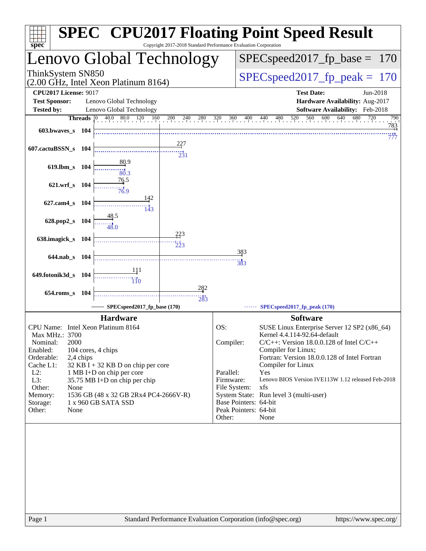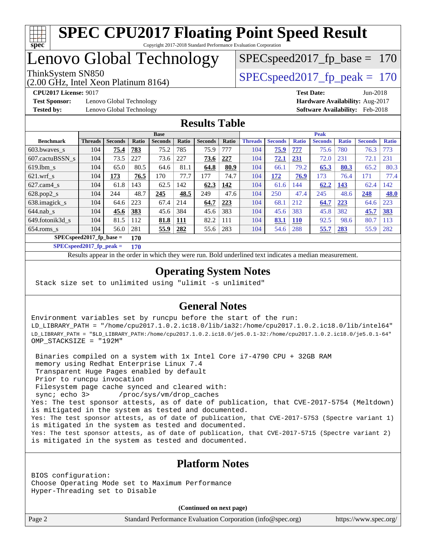

### Lenovo Global Technology

(2.00 GHz, Intel Xeon Platinum 8164)

ThinkSystem SN850<br>  $SPEC speed2017$  fp\_peak = 170

SPECspeed2017 fp base =  $170$ 

**[Test Sponsor:](http://www.spec.org/auto/cpu2017/Docs/result-fields.html#TestSponsor)** Lenovo Global Technology **[Hardware Availability:](http://www.spec.org/auto/cpu2017/Docs/result-fields.html#HardwareAvailability)** Aug-2017 **[Tested by:](http://www.spec.org/auto/cpu2017/Docs/result-fields.html#Testedby)** Lenovo Global Technology **[Software Availability:](http://www.spec.org/auto/cpu2017/Docs/result-fields.html#SoftwareAvailability)** Feb-2018

**[CPU2017 License:](http://www.spec.org/auto/cpu2017/Docs/result-fields.html#CPU2017License)** 9017 **[Test Date:](http://www.spec.org/auto/cpu2017/Docs/result-fields.html#TestDate)** Jun-2018

#### **[Results Table](http://www.spec.org/auto/cpu2017/Docs/result-fields.html#ResultsTable)**

|                           | <b>Base</b>    |                |       |                |       |                |       | <b>Peak</b>    |                |              |                |              |                |              |
|---------------------------|----------------|----------------|-------|----------------|-------|----------------|-------|----------------|----------------|--------------|----------------|--------------|----------------|--------------|
| <b>Benchmark</b>          | <b>Threads</b> | <b>Seconds</b> | Ratio | <b>Seconds</b> | Ratio | <b>Seconds</b> | Ratio | <b>Threads</b> | <b>Seconds</b> | <b>Ratio</b> | <b>Seconds</b> | <b>Ratio</b> | <b>Seconds</b> | <b>Ratio</b> |
| 603.bwayes s              | 104            | 75.4           | 783   | 75.2           | 785   | 75.9           | 777   | 104            | 75.9           | 777          | 75.6           | 780          | 76.3           | 773          |
| 607.cactuBSSN s           | 104            | 73.5           | 227   | 73.6           | 227   | 73.6           | 227   | 104            | 72.1           | 231          | 72.0           | 231          | 72.1           | 231          |
| $619.1$ bm s              | 104            | 65.0           | 80.5  | 64.6           | 81.1  | 64.8           | 80.9  | 104            | 66.1           | 79.2         | 65.3           | 80.3         | 65.2           | 80.3         |
| $621$ .wrf s              | 104            | 173            | 76.5  | 170            | 77.7  | 177            | 74.7  | 104            | 172            | 76.9         | 173            | 76.4         | 171            | 77.4         |
| $627$ .cam $4$ s          | 104            | 61.8           | 143   | 62.5           | 142   | 62.3           | 142   | 104            | 61.6           | 144          | 62.2           | 143          | 62.4           | 142          |
| $628.pop2_s$              | 104            | 244            | 48.7  | 245            | 48.5  | 249            | 47.6  | 104            | 250            | 47.4         | 245            | 48.6         | 248            | <b>48.0</b>  |
| 638.imagick_s             | 104            | 64.6           | 223   | 67.4           | 214   | 64.7           | 223   | 104            | 68.1           | 212          | 64.7           | 223          | 64.6           | 223          |
| $644$ .nab s              | 104            | 45.6           | 383   | 45.6           | 384   | 45.6           | 383   | 104            | 45.6           | 383          | 45.8           | 382          | 45.7           | 383          |
| 649.fotonik3d s           | 104            | 81.5           | 112   | 81.8           | 111   | 82.2           | 111   | 104            | 83.1           | <b>110</b>   | 92.5           | 98.6         | 80.7           | 113          |
| $654$ .roms s             | 104            | 56.0           | 281   | 55.9           | 282   | 55.6           | 283   | 104            | 54.6           | 288          | 55.7           | 283          | 55.9           | 282          |
| $SPECspeed2017$ fp base = | 170            |                |       |                |       |                |       |                |                |              |                |              |                |              |

**[SPECspeed2017\\_fp\\_peak =](http://www.spec.org/auto/cpu2017/Docs/result-fields.html#SPECspeed2017fppeak) 170**

Results appear in the [order in which they were run.](http://www.spec.org/auto/cpu2017/Docs/result-fields.html#RunOrder) Bold underlined text [indicates a median measurement](http://www.spec.org/auto/cpu2017/Docs/result-fields.html#Median).

#### **[Operating System Notes](http://www.spec.org/auto/cpu2017/Docs/result-fields.html#OperatingSystemNotes)**

Stack size set to unlimited using "ulimit -s unlimited"

#### **[General Notes](http://www.spec.org/auto/cpu2017/Docs/result-fields.html#GeneralNotes)**

Environment variables set by runcpu before the start of the run: LD\_LIBRARY\_PATH = "/home/cpu2017.1.0.2.ic18.0/lib/ia32:/home/cpu2017.1.0.2.ic18.0/lib/intel64" LD\_LIBRARY\_PATH = "\$LD\_LIBRARY\_PATH:/home/cpu2017.1.0.2.ic18.0/je5.0.1-32:/home/cpu2017.1.0.2.ic18.0/je5.0.1-64" OMP\_STACKSIZE = "192M"

 Binaries compiled on a system with 1x Intel Core i7-4790 CPU + 32GB RAM memory using Redhat Enterprise Linux 7.4 Transparent Huge Pages enabled by default Prior to runcpu invocation Filesystem page cache synced and cleared with: sync; echo 3> /proc/sys/vm/drop\_caches Yes: The test sponsor attests, as of date of publication, that CVE-2017-5754 (Meltdown) is mitigated in the system as tested and documented. Yes: The test sponsor attests, as of date of publication, that CVE-2017-5753 (Spectre variant 1) is mitigated in the system as tested and documented. Yes: The test sponsor attests, as of date of publication, that CVE-2017-5715 (Spectre variant 2) is mitigated in the system as tested and documented.

#### **[Platform Notes](http://www.spec.org/auto/cpu2017/Docs/result-fields.html#PlatformNotes)**

BIOS configuration: Choose Operating Mode set to Maximum Performance Hyper-Threading set to Disable

**(Continued on next page)**

Page 2 Standard Performance Evaluation Corporation [\(info@spec.org\)](mailto:info@spec.org) <https://www.spec.org/>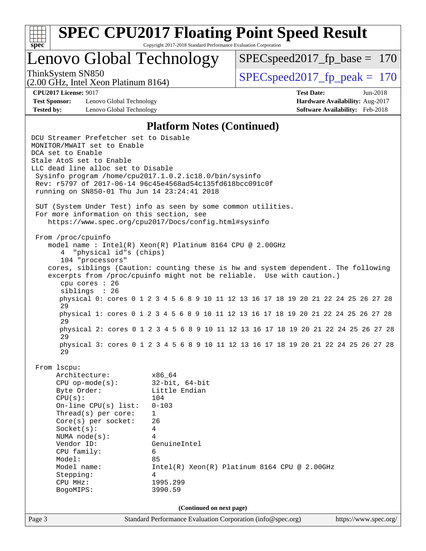

Lenovo Global Technology

ThinkSystem SN850<br>  $SPEC speed2017$  fp\_peak = 170 SPECspeed2017 fp base =  $170$ 

(2.00 GHz, Intel Xeon Platinum 8164)

**[Test Sponsor:](http://www.spec.org/auto/cpu2017/Docs/result-fields.html#TestSponsor)** Lenovo Global Technology **[Hardware Availability:](http://www.spec.org/auto/cpu2017/Docs/result-fields.html#HardwareAvailability)** Aug-2017 **[Tested by:](http://www.spec.org/auto/cpu2017/Docs/result-fields.html#Testedby)** Lenovo Global Technology **[Software Availability:](http://www.spec.org/auto/cpu2017/Docs/result-fields.html#SoftwareAvailability)** Feb-2018

**[CPU2017 License:](http://www.spec.org/auto/cpu2017/Docs/result-fields.html#CPU2017License)** 9017 **[Test Date:](http://www.spec.org/auto/cpu2017/Docs/result-fields.html#TestDate)** Jun-2018

#### **[Platform Notes \(Continued\)](http://www.spec.org/auto/cpu2017/Docs/result-fields.html#PlatformNotes)**

Page 3 Standard Performance Evaluation Corporation [\(info@spec.org\)](mailto:info@spec.org) <https://www.spec.org/> DCU Streamer Prefetcher set to Disable MONITOR/MWAIT set to Enable DCA set to Enable Stale AtoS set to Enable LLC dead line alloc set to Disable Sysinfo program /home/cpu2017.1.0.2.ic18.0/bin/sysinfo Rev: r5797 of 2017-06-14 96c45e4568ad54c135fd618bcc091c0f running on SN850-01 Thu Jun 14 23:24:41 2018 SUT (System Under Test) info as seen by some common utilities. For more information on this section, see <https://www.spec.org/cpu2017/Docs/config.html#sysinfo> From /proc/cpuinfo model name : Intel(R) Xeon(R) Platinum 8164 CPU @ 2.00GHz 4 "physical id"s (chips) 104 "processors" cores, siblings (Caution: counting these is hw and system dependent. The following excerpts from /proc/cpuinfo might not be reliable. Use with caution.) cpu cores : 26 siblings : 26 physical 0: cores 0 1 2 3 4 5 6 8 9 10 11 12 13 16 17 18 19 20 21 22 24 25 26 27 28 29 physical 1: cores 0 1 2 3 4 5 6 8 9 10 11 12 13 16 17 18 19 20 21 22 24 25 26 27 28 29 physical 2: cores 0 1 2 3 4 5 6 8 9 10 11 12 13 16 17 18 19 20 21 22 24 25 26 27 28  $29$  physical 3: cores 0 1 2 3 4 5 6 8 9 10 11 12 13 16 17 18 19 20 21 22 24 25 26 27 28 29 From lscpu: Architecture: x86\_64 CPU op-mode(s): 32-bit, 64-bit Byte Order: Little Endian CPU(s): 104 On-line CPU(s) list: 0-103 Thread(s) per core: 1 Core(s) per socket: 26 Socket(s): 4 NUMA node(s): 4 Vendor ID: GenuineIntel CPU family: 6 Model: 85 Model name: Intel(R) Xeon(R) Platinum 8164 CPU @ 2.00GHz Stepping: 4 CPU MHz: 1995.299 BogoMIPS: 3990.59 **(Continued on next page)**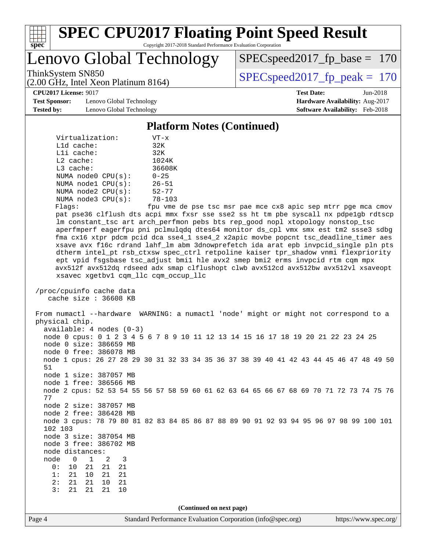

# **[SPEC CPU2017 Floating Point Speed Result](http://www.spec.org/auto/cpu2017/Docs/result-fields.html#SPECCPU2017FloatingPointSpeedResult)**

Copyright 2017-2018 Standard Performance Evaluation Corporation

Lenovo Global Technology

[SPECspeed2017\\_fp\\_base =](http://www.spec.org/auto/cpu2017/Docs/result-fields.html#SPECspeed2017fpbase) 170

(2.00 GHz, Intel Xeon Platinum 8164)

ThinkSystem SN850<br>  $\overline{SPEC speed2017\_fp\_peak} = 170$ 

**[CPU2017 License:](http://www.spec.org/auto/cpu2017/Docs/result-fields.html#CPU2017License)** 9017 **[Test Date:](http://www.spec.org/auto/cpu2017/Docs/result-fields.html#TestDate)** Jun-2018

**[Test Sponsor:](http://www.spec.org/auto/cpu2017/Docs/result-fields.html#TestSponsor)** Lenovo Global Technology **[Hardware Availability:](http://www.spec.org/auto/cpu2017/Docs/result-fields.html#HardwareAvailability)** Aug-2017 **[Tested by:](http://www.spec.org/auto/cpu2017/Docs/result-fields.html#Testedby)** Lenovo Global Technology **[Software Availability:](http://www.spec.org/auto/cpu2017/Docs/result-fields.html#SoftwareAvailability)** Feb-2018

**[Platform Notes \(Continued\)](http://www.spec.org/auto/cpu2017/Docs/result-fields.html#PlatformNotes)**

| Virtualization:         | VT-x                 |  |  |  |  |
|-------------------------|----------------------|--|--|--|--|
|                         |                      |  |  |  |  |
| $L1d$ cache:            | 32K                  |  |  |  |  |
| Lli cache:              | 32K                  |  |  |  |  |
| $L2$ cache:             | 1024K                |  |  |  |  |
| $L3$ cache:             | 36608K               |  |  |  |  |
| NUMA $node0$ $CPU(s)$ : | $0 - 25$             |  |  |  |  |
| NUMA nodel CPU(s):      | $26 - 51$            |  |  |  |  |
| NUMA $node2$ $CPU(s)$ : | $52 - 77$            |  |  |  |  |
| NUMA node3 CPU(s):      | $78 - 103$           |  |  |  |  |
| Flanc:                  | ≙מ <i>חז</i> י וות f |  |  |  |  |

Flags: fpu vme de pse tsc msr pae mce cx8 apic sep mtrr pge mca cmov pat pse36 clflush dts acpi mmx fxsr sse sse2 ss ht tm pbe syscall nx pdpe1gb rdtscp lm constant\_tsc art arch\_perfmon pebs bts rep\_good nopl xtopology nonstop\_tsc aperfmperf eagerfpu pni pclmulqdq dtes64 monitor ds\_cpl vmx smx est tm2 ssse3 sdbg fma cx16 xtpr pdcm pcid dca sse4\_1 sse4\_2 x2apic movbe popcnt tsc\_deadline\_timer aes xsave avx f16c rdrand lahf\_lm abm 3dnowprefetch ida arat epb invpcid\_single pln pts dtherm intel\_pt rsb\_ctxsw spec\_ctrl retpoline kaiser tpr\_shadow vnmi flexpriority ept vpid fsgsbase tsc\_adjust bmi1 hle avx2 smep bmi2 erms invpcid rtm cqm mpx avx512f avx512dq rdseed adx smap clflushopt clwb avx512cd avx512bw avx512vl xsaveopt xsavec xgetbv1 cqm\_llc cqm\_occup\_llc

 /proc/cpuinfo cache data cache size : 36608 KB

 From numactl --hardware WARNING: a numactl 'node' might or might not correspond to a physical chip. available: 4 nodes (0-3) node 0 cpus: 0 1 2 3 4 5 6 7 8 9 10 11 12 13 14 15 16 17 18 19 20 21 22 23 24 25 node 0 size: 386659 MB node 0 free: 386078 MB

 node 1 cpus: 26 27 28 29 30 31 32 33 34 35 36 37 38 39 40 41 42 43 44 45 46 47 48 49 50 51 node 1 size: 387057 MB node 1 free: 386566 MB

 node 2 cpus: 52 53 54 55 56 57 58 59 60 61 62 63 64 65 66 67 68 69 70 71 72 73 74 75 76 77 node 2 size: 387057 MB

 node 2 free: 386428 MB node 3 cpus: 78 79 80 81 82 83 84 85 86 87 88 89 90 91 92 93 94 95 96 97 98 99 100 101

 102 103 node 3 size: 387054 MB

node 3 free: 386702 MB

 node distances: node 0 1 2 3

 0: 10 21 21 21 1: 21 10 21 21

 2: 21 21 10 21 3: 21 21 21 10

**(Continued on next page)**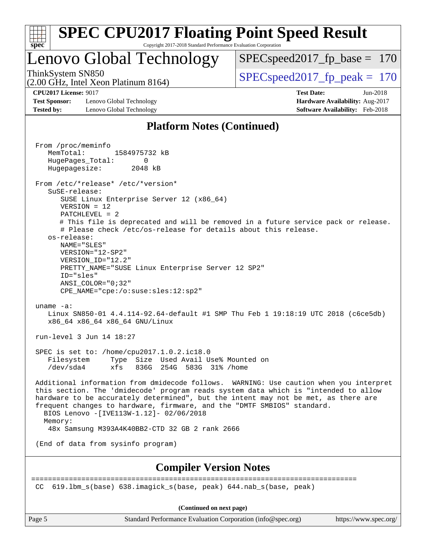

**[Compiler Version Notes](http://www.spec.org/auto/cpu2017/Docs/result-fields.html#CompilerVersionNotes)**

CC 619.lbm\_s(base) 638.imagick\_s(base, peak) 644.nab\_s(base, peak)

==============================================================================

**(Continued on next page)**

Page 5 Standard Performance Evaluation Corporation [\(info@spec.org\)](mailto:info@spec.org) <https://www.spec.org/>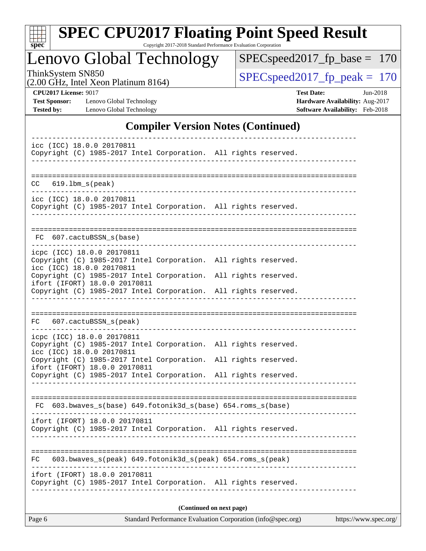

# **[SPEC CPU2017 Floating Point Speed Result](http://www.spec.org/auto/cpu2017/Docs/result-fields.html#SPECCPU2017FloatingPointSpeedResult)**

Copyright 2017-2018 Standard Performance Evaluation Corporation

Lenovo Global Technology

[SPECspeed2017\\_fp\\_base =](http://www.spec.org/auto/cpu2017/Docs/result-fields.html#SPECspeed2017fpbase) 170

(2.00 GHz, Intel Xeon Platinum 8164)

ThinkSystem SN850<br>  $(2.00 \text{ GHz. Intel } \text{Yeen Platinum } 8164)$  [SPECspeed2017\\_fp\\_peak =](http://www.spec.org/auto/cpu2017/Docs/result-fields.html#SPECspeed2017fppeak) 170

**[Test Sponsor:](http://www.spec.org/auto/cpu2017/Docs/result-fields.html#TestSponsor)** Lenovo Global Technology **[Hardware Availability:](http://www.spec.org/auto/cpu2017/Docs/result-fields.html#HardwareAvailability)** Aug-2017 **[Tested by:](http://www.spec.org/auto/cpu2017/Docs/result-fields.html#Testedby)** Lenovo Global Technology **[Software Availability:](http://www.spec.org/auto/cpu2017/Docs/result-fields.html#SoftwareAvailability)** Feb-2018

**[CPU2017 License:](http://www.spec.org/auto/cpu2017/Docs/result-fields.html#CPU2017License)** 9017 **[Test Date:](http://www.spec.org/auto/cpu2017/Docs/result-fields.html#TestDate)** Jun-2018

#### **[Compiler Version Notes \(Continued\)](http://www.spec.org/auto/cpu2017/Docs/result-fields.html#CompilerVersionNotes)**

|     |  |                                                         |                               |                                                                 | (Continued on next page) |  |                                                                 |  |
|-----|--|---------------------------------------------------------|-------------------------------|-----------------------------------------------------------------|--------------------------|--|-----------------------------------------------------------------|--|
|     |  |                                                         | ifort (IFORT) 18.0.0 20170811 | Copyright (C) 1985-2017 Intel Corporation. All rights reserved. |                          |  |                                                                 |  |
| FC  |  |                                                         |                               | 603.bwaves_s(peak) 649.fotonik3d_s(peak) 654.roms_s(peak)       |                          |  |                                                                 |  |
|     |  |                                                         | ifort (IFORT) 18.0.0 20170811 | Copyright (C) 1985-2017 Intel Corporation. All rights reserved. |                          |  |                                                                 |  |
|     |  |                                                         |                               | FC 603.bwaves_s(base) 649.fotonik3d_s(base) 654.roms_s(base)    |                          |  |                                                                 |  |
|     |  |                                                         |                               |                                                                 |                          |  | Copyright (C) 1985-2017 Intel Corporation. All rights reserved. |  |
|     |  |                                                         | ifort (IFORT) 18.0.0 20170811 | Copyright (C) 1985-2017 Intel Corporation. All rights reserved. |                          |  |                                                                 |  |
|     |  | icpc (ICC) 18.0.0 20170811<br>icc (ICC) 18.0.0 20170811 |                               | Copyright (C) 1985-2017 Intel Corporation. All rights reserved. |                          |  |                                                                 |  |
|     |  | FC 607.cactuBSSN_s(peak)                                |                               |                                                                 |                          |  |                                                                 |  |
|     |  |                                                         |                               | Copyright (C) 1985-2017 Intel Corporation. All rights reserved. |                          |  |                                                                 |  |
|     |  |                                                         | ifort (IFORT) 18.0.0 20170811 | Copyright (C) 1985-2017 Intel Corporation. All rights reserved. |                          |  |                                                                 |  |
|     |  | icpc (ICC) 18.0.0 20170811<br>icc (ICC) 18.0.0 20170811 |                               | Copyright (C) 1985-2017 Intel Corporation. All rights reserved. |                          |  |                                                                 |  |
|     |  | FC 607.cactuBSSN_s(base)                                |                               |                                                                 |                          |  |                                                                 |  |
|     |  | icc (ICC) 18.0.0 20170811                               |                               | Copyright (C) 1985-2017 Intel Corporation. All rights reserved. |                          |  |                                                                 |  |
| CC. |  | $619.1$ bm_s(peak)                                      |                               |                                                                 |                          |  |                                                                 |  |
|     |  |                                                         |                               |                                                                 |                          |  |                                                                 |  |
|     |  | icc (ICC) 18.0.0 20170811                               |                               | Copyright (C) 1985-2017 Intel Corporation. All rights reserved. |                          |  |                                                                 |  |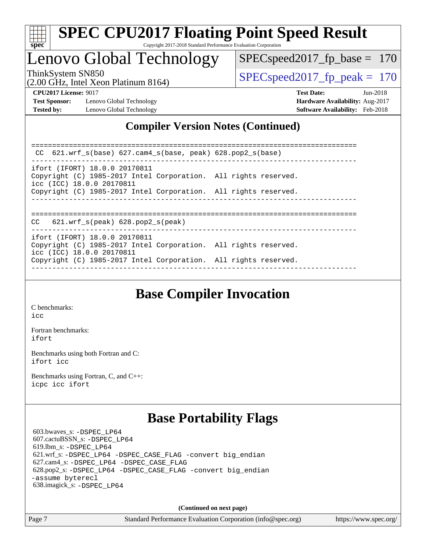

# **[SPEC CPU2017 Floating Point Speed Result](http://www.spec.org/auto/cpu2017/Docs/result-fields.html#SPECCPU2017FloatingPointSpeedResult)**

Copyright 2017-2018 Standard Performance Evaluation Corporation

### Lenovo Global Technology

SPECspeed2017 fp base =  $170$ 

(2.00 GHz, Intel Xeon Platinum 8164)

ThinkSystem SN850<br>  $SPEC speed2017$  fp\_peak = 170

**[Test Sponsor:](http://www.spec.org/auto/cpu2017/Docs/result-fields.html#TestSponsor)** Lenovo Global Technology **[Hardware Availability:](http://www.spec.org/auto/cpu2017/Docs/result-fields.html#HardwareAvailability)** Aug-2017 **[Tested by:](http://www.spec.org/auto/cpu2017/Docs/result-fields.html#Testedby)** Lenovo Global Technology **[Software Availability:](http://www.spec.org/auto/cpu2017/Docs/result-fields.html#SoftwareAvailability)** Feb-2018

**[CPU2017 License:](http://www.spec.org/auto/cpu2017/Docs/result-fields.html#CPU2017License)** 9017 **[Test Date:](http://www.spec.org/auto/cpu2017/Docs/result-fields.html#TestDate)** Jun-2018

#### **[Compiler Version Notes \(Continued\)](http://www.spec.org/auto/cpu2017/Docs/result-fields.html#CompilerVersionNotes)**

============================================================================== CC 621.wrf\_s(base) 627.cam4\_s(base, peak) 628.pop2\_s(base) ----------------------------------------------------------------------------- ifort (IFORT) 18.0.0 20170811 Copyright (C) 1985-2017 Intel Corporation. All rights reserved. icc (ICC) 18.0.0 20170811 Copyright (C) 1985-2017 Intel Corporation. All rights reserved. ------------------------------------------------------------------------------ ============================================================================== CC 621.wrf\_s(peak) 628.pop2\_s(peak) ----------------------------------------------------------------------------- ifort (IFORT) 18.0.0 20170811 Copyright (C) 1985-2017 Intel Corporation. All rights reserved. icc (ICC) 18.0.0 20170811 Copyright (C) 1985-2017 Intel Corporation. All rights reserved. ------------------------------------------------------------------------------

### **[Base Compiler Invocation](http://www.spec.org/auto/cpu2017/Docs/result-fields.html#BaseCompilerInvocation)**

[C benchmarks](http://www.spec.org/auto/cpu2017/Docs/result-fields.html#Cbenchmarks): [icc](http://www.spec.org/cpu2017/results/res2018q3/cpu2017-20180620-07209.flags.html#user_CCbase_intel_icc_18.0_66fc1ee009f7361af1fbd72ca7dcefbb700085f36577c54f309893dd4ec40d12360134090235512931783d35fd58c0460139e722d5067c5574d8eaf2b3e37e92)

[Fortran benchmarks](http://www.spec.org/auto/cpu2017/Docs/result-fields.html#Fortranbenchmarks): [ifort](http://www.spec.org/cpu2017/results/res2018q3/cpu2017-20180620-07209.flags.html#user_FCbase_intel_ifort_18.0_8111460550e3ca792625aed983ce982f94888b8b503583aa7ba2b8303487b4d8a21a13e7191a45c5fd58ff318f48f9492884d4413fa793fd88dd292cad7027ca)

[Benchmarks using both Fortran and C](http://www.spec.org/auto/cpu2017/Docs/result-fields.html#BenchmarksusingbothFortranandC): [ifort](http://www.spec.org/cpu2017/results/res2018q3/cpu2017-20180620-07209.flags.html#user_CC_FCbase_intel_ifort_18.0_8111460550e3ca792625aed983ce982f94888b8b503583aa7ba2b8303487b4d8a21a13e7191a45c5fd58ff318f48f9492884d4413fa793fd88dd292cad7027ca) [icc](http://www.spec.org/cpu2017/results/res2018q3/cpu2017-20180620-07209.flags.html#user_CC_FCbase_intel_icc_18.0_66fc1ee009f7361af1fbd72ca7dcefbb700085f36577c54f309893dd4ec40d12360134090235512931783d35fd58c0460139e722d5067c5574d8eaf2b3e37e92)

[Benchmarks using Fortran, C, and C++:](http://www.spec.org/auto/cpu2017/Docs/result-fields.html#BenchmarksusingFortranCandCXX) [icpc](http://www.spec.org/cpu2017/results/res2018q3/cpu2017-20180620-07209.flags.html#user_CC_CXX_FCbase_intel_icpc_18.0_c510b6838c7f56d33e37e94d029a35b4a7bccf4766a728ee175e80a419847e808290a9b78be685c44ab727ea267ec2f070ec5dc83b407c0218cded6866a35d07) [icc](http://www.spec.org/cpu2017/results/res2018q3/cpu2017-20180620-07209.flags.html#user_CC_CXX_FCbase_intel_icc_18.0_66fc1ee009f7361af1fbd72ca7dcefbb700085f36577c54f309893dd4ec40d12360134090235512931783d35fd58c0460139e722d5067c5574d8eaf2b3e37e92) [ifort](http://www.spec.org/cpu2017/results/res2018q3/cpu2017-20180620-07209.flags.html#user_CC_CXX_FCbase_intel_ifort_18.0_8111460550e3ca792625aed983ce982f94888b8b503583aa7ba2b8303487b4d8a21a13e7191a45c5fd58ff318f48f9492884d4413fa793fd88dd292cad7027ca)

### **[Base Portability Flags](http://www.spec.org/auto/cpu2017/Docs/result-fields.html#BasePortabilityFlags)**

 603.bwaves\_s: [-DSPEC\\_LP64](http://www.spec.org/cpu2017/results/res2018q3/cpu2017-20180620-07209.flags.html#suite_basePORTABILITY603_bwaves_s_DSPEC_LP64) 607.cactuBSSN\_s: [-DSPEC\\_LP64](http://www.spec.org/cpu2017/results/res2018q3/cpu2017-20180620-07209.flags.html#suite_basePORTABILITY607_cactuBSSN_s_DSPEC_LP64) 619.lbm\_s: [-DSPEC\\_LP64](http://www.spec.org/cpu2017/results/res2018q3/cpu2017-20180620-07209.flags.html#suite_basePORTABILITY619_lbm_s_DSPEC_LP64) 621.wrf\_s: [-DSPEC\\_LP64](http://www.spec.org/cpu2017/results/res2018q3/cpu2017-20180620-07209.flags.html#suite_basePORTABILITY621_wrf_s_DSPEC_LP64) [-DSPEC\\_CASE\\_FLAG](http://www.spec.org/cpu2017/results/res2018q3/cpu2017-20180620-07209.flags.html#b621.wrf_s_baseCPORTABILITY_DSPEC_CASE_FLAG) [-convert big\\_endian](http://www.spec.org/cpu2017/results/res2018q3/cpu2017-20180620-07209.flags.html#user_baseFPORTABILITY621_wrf_s_convert_big_endian_c3194028bc08c63ac5d04de18c48ce6d347e4e562e8892b8bdbdc0214820426deb8554edfa529a3fb25a586e65a3d812c835984020483e7e73212c4d31a38223) 627.cam4\_s: [-DSPEC\\_LP64](http://www.spec.org/cpu2017/results/res2018q3/cpu2017-20180620-07209.flags.html#suite_basePORTABILITY627_cam4_s_DSPEC_LP64) [-DSPEC\\_CASE\\_FLAG](http://www.spec.org/cpu2017/results/res2018q3/cpu2017-20180620-07209.flags.html#b627.cam4_s_baseCPORTABILITY_DSPEC_CASE_FLAG) 628.pop2\_s: [-DSPEC\\_LP64](http://www.spec.org/cpu2017/results/res2018q3/cpu2017-20180620-07209.flags.html#suite_basePORTABILITY628_pop2_s_DSPEC_LP64) [-DSPEC\\_CASE\\_FLAG](http://www.spec.org/cpu2017/results/res2018q3/cpu2017-20180620-07209.flags.html#b628.pop2_s_baseCPORTABILITY_DSPEC_CASE_FLAG) [-convert big\\_endian](http://www.spec.org/cpu2017/results/res2018q3/cpu2017-20180620-07209.flags.html#user_baseFPORTABILITY628_pop2_s_convert_big_endian_c3194028bc08c63ac5d04de18c48ce6d347e4e562e8892b8bdbdc0214820426deb8554edfa529a3fb25a586e65a3d812c835984020483e7e73212c4d31a38223) [-assume byterecl](http://www.spec.org/cpu2017/results/res2018q3/cpu2017-20180620-07209.flags.html#user_baseFPORTABILITY628_pop2_s_assume_byterecl_7e47d18b9513cf18525430bbf0f2177aa9bf368bc7a059c09b2c06a34b53bd3447c950d3f8d6c70e3faf3a05c8557d66a5798b567902e8849adc142926523472) 638.imagick\_s: [-DSPEC\\_LP64](http://www.spec.org/cpu2017/results/res2018q3/cpu2017-20180620-07209.flags.html#suite_basePORTABILITY638_imagick_s_DSPEC_LP64)

**(Continued on next page)**

Page 7 Standard Performance Evaluation Corporation [\(info@spec.org\)](mailto:info@spec.org) <https://www.spec.org/>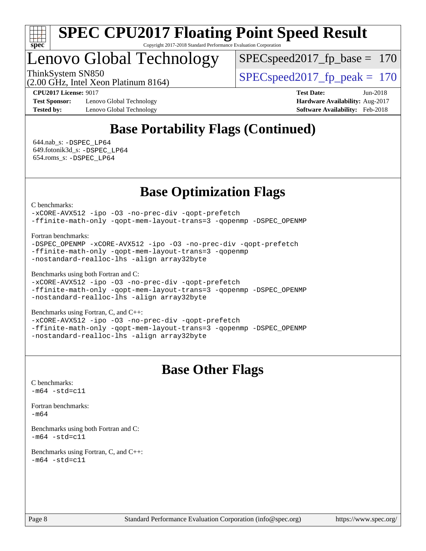

Lenovo Global Technology

 $SPEC speed2017_fp\_base = 170$ 

ThinkSystem SN850<br>  $SPEC speed2017$  fp\_peak = 170

(2.00 GHz, Intel Xeon Platinum 8164)

**[Test Sponsor:](http://www.spec.org/auto/cpu2017/Docs/result-fields.html#TestSponsor)** Lenovo Global Technology **[Hardware Availability:](http://www.spec.org/auto/cpu2017/Docs/result-fields.html#HardwareAvailability)** Aug-2017 **[Tested by:](http://www.spec.org/auto/cpu2017/Docs/result-fields.html#Testedby)** Lenovo Global Technology **[Software Availability:](http://www.spec.org/auto/cpu2017/Docs/result-fields.html#SoftwareAvailability)** Feb-2018

**[CPU2017 License:](http://www.spec.org/auto/cpu2017/Docs/result-fields.html#CPU2017License)** 9017 **[Test Date:](http://www.spec.org/auto/cpu2017/Docs/result-fields.html#TestDate)** Jun-2018

### **[Base Portability Flags \(Continued\)](http://www.spec.org/auto/cpu2017/Docs/result-fields.html#BasePortabilityFlags)**

 644.nab\_s: [-DSPEC\\_LP64](http://www.spec.org/cpu2017/results/res2018q3/cpu2017-20180620-07209.flags.html#suite_basePORTABILITY644_nab_s_DSPEC_LP64) 649.fotonik3d\_s: [-DSPEC\\_LP64](http://www.spec.org/cpu2017/results/res2018q3/cpu2017-20180620-07209.flags.html#suite_basePORTABILITY649_fotonik3d_s_DSPEC_LP64) 654.roms\_s: [-DSPEC\\_LP64](http://www.spec.org/cpu2017/results/res2018q3/cpu2017-20180620-07209.flags.html#suite_basePORTABILITY654_roms_s_DSPEC_LP64)

### **[Base Optimization Flags](http://www.spec.org/auto/cpu2017/Docs/result-fields.html#BaseOptimizationFlags)**

[C benchmarks](http://www.spec.org/auto/cpu2017/Docs/result-fields.html#Cbenchmarks):

[-xCORE-AVX512](http://www.spec.org/cpu2017/results/res2018q3/cpu2017-20180620-07209.flags.html#user_CCbase_f-xCORE-AVX512) [-ipo](http://www.spec.org/cpu2017/results/res2018q3/cpu2017-20180620-07209.flags.html#user_CCbase_f-ipo) [-O3](http://www.spec.org/cpu2017/results/res2018q3/cpu2017-20180620-07209.flags.html#user_CCbase_f-O3) [-no-prec-div](http://www.spec.org/cpu2017/results/res2018q3/cpu2017-20180620-07209.flags.html#user_CCbase_f-no-prec-div) [-qopt-prefetch](http://www.spec.org/cpu2017/results/res2018q3/cpu2017-20180620-07209.flags.html#user_CCbase_f-qopt-prefetch) [-ffinite-math-only](http://www.spec.org/cpu2017/results/res2018q3/cpu2017-20180620-07209.flags.html#user_CCbase_f_finite_math_only_cb91587bd2077682c4b38af759c288ed7c732db004271a9512da14a4f8007909a5f1427ecbf1a0fb78ff2a814402c6114ac565ca162485bbcae155b5e4258871) [-qopt-mem-layout-trans=3](http://www.spec.org/cpu2017/results/res2018q3/cpu2017-20180620-07209.flags.html#user_CCbase_f-qopt-mem-layout-trans_de80db37974c74b1f0e20d883f0b675c88c3b01e9d123adea9b28688d64333345fb62bc4a798493513fdb68f60282f9a726aa07f478b2f7113531aecce732043) [-qopenmp](http://www.spec.org/cpu2017/results/res2018q3/cpu2017-20180620-07209.flags.html#user_CCbase_qopenmp_16be0c44f24f464004c6784a7acb94aca937f053568ce72f94b139a11c7c168634a55f6653758ddd83bcf7b8463e8028bb0b48b77bcddc6b78d5d95bb1df2967) [-DSPEC\\_OPENMP](http://www.spec.org/cpu2017/results/res2018q3/cpu2017-20180620-07209.flags.html#suite_CCbase_DSPEC_OPENMP)

[Fortran benchmarks](http://www.spec.org/auto/cpu2017/Docs/result-fields.html#Fortranbenchmarks):

```
-DSPEC_OPENMP -xCORE-AVX512 -ipo -O3 -no-prec-div -qopt-prefetch
-ffinite-math-only -qopt-mem-layout-trans=3 -qopenmp
-nostandard-realloc-lhs -align array32byte
```
[Benchmarks using both Fortran and C](http://www.spec.org/auto/cpu2017/Docs/result-fields.html#BenchmarksusingbothFortranandC):

```
-xCORE-AVX512-ipo-no-prec-div-qopt-prefetch
-ffinite-math-only -qopt-mem-layout-trans=3 -qopenmp -DSPEC_OPENMP
-nostandard-realloc-lhs -align array32byte
```
[Benchmarks using Fortran, C, and C++:](http://www.spec.org/auto/cpu2017/Docs/result-fields.html#BenchmarksusingFortranCandCXX)

[-xCORE-AVX512](http://www.spec.org/cpu2017/results/res2018q3/cpu2017-20180620-07209.flags.html#user_CC_CXX_FCbase_f-xCORE-AVX512) [-ipo](http://www.spec.org/cpu2017/results/res2018q3/cpu2017-20180620-07209.flags.html#user_CC_CXX_FCbase_f-ipo) [-O3](http://www.spec.org/cpu2017/results/res2018q3/cpu2017-20180620-07209.flags.html#user_CC_CXX_FCbase_f-O3) [-no-prec-div](http://www.spec.org/cpu2017/results/res2018q3/cpu2017-20180620-07209.flags.html#user_CC_CXX_FCbase_f-no-prec-div) [-qopt-prefetch](http://www.spec.org/cpu2017/results/res2018q3/cpu2017-20180620-07209.flags.html#user_CC_CXX_FCbase_f-qopt-prefetch) [-ffinite-math-only](http://www.spec.org/cpu2017/results/res2018q3/cpu2017-20180620-07209.flags.html#user_CC_CXX_FCbase_f_finite_math_only_cb91587bd2077682c4b38af759c288ed7c732db004271a9512da14a4f8007909a5f1427ecbf1a0fb78ff2a814402c6114ac565ca162485bbcae155b5e4258871) [-qopt-mem-layout-trans=3](http://www.spec.org/cpu2017/results/res2018q3/cpu2017-20180620-07209.flags.html#user_CC_CXX_FCbase_f-qopt-mem-layout-trans_de80db37974c74b1f0e20d883f0b675c88c3b01e9d123adea9b28688d64333345fb62bc4a798493513fdb68f60282f9a726aa07f478b2f7113531aecce732043) [-qopenmp](http://www.spec.org/cpu2017/results/res2018q3/cpu2017-20180620-07209.flags.html#user_CC_CXX_FCbase_qopenmp_16be0c44f24f464004c6784a7acb94aca937f053568ce72f94b139a11c7c168634a55f6653758ddd83bcf7b8463e8028bb0b48b77bcddc6b78d5d95bb1df2967) [-DSPEC\\_OPENMP](http://www.spec.org/cpu2017/results/res2018q3/cpu2017-20180620-07209.flags.html#suite_CC_CXX_FCbase_DSPEC_OPENMP) [-nostandard-realloc-lhs](http://www.spec.org/cpu2017/results/res2018q3/cpu2017-20180620-07209.flags.html#user_CC_CXX_FCbase_f_2003_std_realloc_82b4557e90729c0f113870c07e44d33d6f5a304b4f63d4c15d2d0f1fab99f5daaed73bdb9275d9ae411527f28b936061aa8b9c8f2d63842963b95c9dd6426b8a) [-align array32byte](http://www.spec.org/cpu2017/results/res2018q3/cpu2017-20180620-07209.flags.html#user_CC_CXX_FCbase_align_array32byte_b982fe038af199962ba9a80c053b8342c548c85b40b8e86eb3cc33dee0d7986a4af373ac2d51c3f7cf710a18d62fdce2948f201cd044323541f22fc0fffc51b6)

#### **[Base Other Flags](http://www.spec.org/auto/cpu2017/Docs/result-fields.html#BaseOtherFlags)**

[C benchmarks](http://www.spec.org/auto/cpu2017/Docs/result-fields.html#Cbenchmarks):  $-m64 - std= c11$  $-m64 - std= c11$ 

[Fortran benchmarks](http://www.spec.org/auto/cpu2017/Docs/result-fields.html#Fortranbenchmarks):

[-m64](http://www.spec.org/cpu2017/results/res2018q3/cpu2017-20180620-07209.flags.html#user_FCbase_intel_intel64_18.0_af43caccfc8ded86e7699f2159af6efc7655f51387b94da716254467f3c01020a5059329e2569e4053f409e7c9202a7efc638f7a6d1ffb3f52dea4a3e31d82ab)

[Benchmarks using both Fortran and C](http://www.spec.org/auto/cpu2017/Docs/result-fields.html#BenchmarksusingbothFortranandC):  $-m64 - std= c11$  $-m64 - std= c11$ 

[Benchmarks using Fortran, C, and C++:](http://www.spec.org/auto/cpu2017/Docs/result-fields.html#BenchmarksusingFortranCandCXX)  $-m64 - std= c11$  $-m64 - std= c11$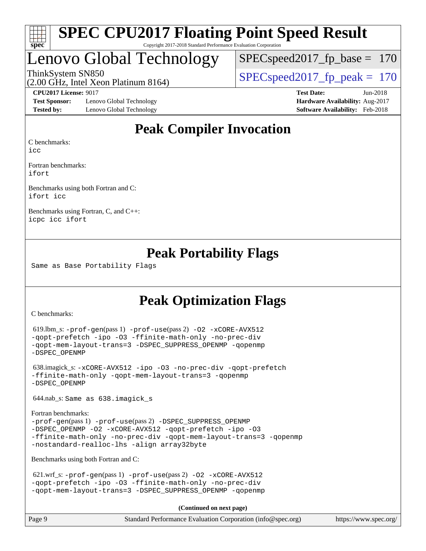

### Lenovo Global Technology

SPECspeed2017 fp base  $= 170$ 

(2.00 GHz, Intel Xeon Platinum 8164)

ThinkSystem SN850<br>  $SPEC speed2017$  fp\_peak = 170

**[Test Sponsor:](http://www.spec.org/auto/cpu2017/Docs/result-fields.html#TestSponsor)** Lenovo Global Technology **[Hardware Availability:](http://www.spec.org/auto/cpu2017/Docs/result-fields.html#HardwareAvailability)** Aug-2017 **[Tested by:](http://www.spec.org/auto/cpu2017/Docs/result-fields.html#Testedby)** Lenovo Global Technology **[Software Availability:](http://www.spec.org/auto/cpu2017/Docs/result-fields.html#SoftwareAvailability)** Feb-2018

**[CPU2017 License:](http://www.spec.org/auto/cpu2017/Docs/result-fields.html#CPU2017License)** 9017 **[Test Date:](http://www.spec.org/auto/cpu2017/Docs/result-fields.html#TestDate)** Jun-2018

### **[Peak Compiler Invocation](http://www.spec.org/auto/cpu2017/Docs/result-fields.html#PeakCompilerInvocation)**

[C benchmarks](http://www.spec.org/auto/cpu2017/Docs/result-fields.html#Cbenchmarks):

[icc](http://www.spec.org/cpu2017/results/res2018q3/cpu2017-20180620-07209.flags.html#user_CCpeak_intel_icc_18.0_66fc1ee009f7361af1fbd72ca7dcefbb700085f36577c54f309893dd4ec40d12360134090235512931783d35fd58c0460139e722d5067c5574d8eaf2b3e37e92)

[Fortran benchmarks](http://www.spec.org/auto/cpu2017/Docs/result-fields.html#Fortranbenchmarks): [ifort](http://www.spec.org/cpu2017/results/res2018q3/cpu2017-20180620-07209.flags.html#user_FCpeak_intel_ifort_18.0_8111460550e3ca792625aed983ce982f94888b8b503583aa7ba2b8303487b4d8a21a13e7191a45c5fd58ff318f48f9492884d4413fa793fd88dd292cad7027ca)

[Benchmarks using both Fortran and C](http://www.spec.org/auto/cpu2017/Docs/result-fields.html#BenchmarksusingbothFortranandC): [ifort](http://www.spec.org/cpu2017/results/res2018q3/cpu2017-20180620-07209.flags.html#user_CC_FCpeak_intel_ifort_18.0_8111460550e3ca792625aed983ce982f94888b8b503583aa7ba2b8303487b4d8a21a13e7191a45c5fd58ff318f48f9492884d4413fa793fd88dd292cad7027ca) [icc](http://www.spec.org/cpu2017/results/res2018q3/cpu2017-20180620-07209.flags.html#user_CC_FCpeak_intel_icc_18.0_66fc1ee009f7361af1fbd72ca7dcefbb700085f36577c54f309893dd4ec40d12360134090235512931783d35fd58c0460139e722d5067c5574d8eaf2b3e37e92)

[Benchmarks using Fortran, C, and C++:](http://www.spec.org/auto/cpu2017/Docs/result-fields.html#BenchmarksusingFortranCandCXX) [icpc](http://www.spec.org/cpu2017/results/res2018q3/cpu2017-20180620-07209.flags.html#user_CC_CXX_FCpeak_intel_icpc_18.0_c510b6838c7f56d33e37e94d029a35b4a7bccf4766a728ee175e80a419847e808290a9b78be685c44ab727ea267ec2f070ec5dc83b407c0218cded6866a35d07) [icc](http://www.spec.org/cpu2017/results/res2018q3/cpu2017-20180620-07209.flags.html#user_CC_CXX_FCpeak_intel_icc_18.0_66fc1ee009f7361af1fbd72ca7dcefbb700085f36577c54f309893dd4ec40d12360134090235512931783d35fd58c0460139e722d5067c5574d8eaf2b3e37e92) [ifort](http://www.spec.org/cpu2017/results/res2018q3/cpu2017-20180620-07209.flags.html#user_CC_CXX_FCpeak_intel_ifort_18.0_8111460550e3ca792625aed983ce982f94888b8b503583aa7ba2b8303487b4d8a21a13e7191a45c5fd58ff318f48f9492884d4413fa793fd88dd292cad7027ca)

### **[Peak Portability Flags](http://www.spec.org/auto/cpu2017/Docs/result-fields.html#PeakPortabilityFlags)**

Same as Base Portability Flags

### **[Peak Optimization Flags](http://www.spec.org/auto/cpu2017/Docs/result-fields.html#PeakOptimizationFlags)**

[C benchmarks](http://www.spec.org/auto/cpu2017/Docs/result-fields.html#Cbenchmarks):

```
 619.lbm_s: -prof-gen(pass 1) -prof-use(pass 2) -O2 -xCORE-AVX512
-qopt-prefetch -ipo -O3 -ffinite-math-only -no-prec-div
-qopt-mem-layout-trans=3 -DSPEC_SUPPRESS_OPENMP -qopenmp
-DSPEC_OPENMP
```

```
 638.imagick_s: -xCORE-AVX512 -ipo -O3 -no-prec-div -qopt-prefetch
-ffinite-math-only -qopt-mem-layout-trans=3 -qopenmp
-DSPEC_OPENMP
```
644.nab\_s: Same as 638.imagick\_s

```
Fortran benchmarks: 
-prof-gen(pass 1) -prof-use(pass 2) -DSPEC_SUPPRESS_OPENMP
-DSPEC_OPENMP -O2 -xCORE-AVX512 -qopt-prefetch -ipo -O3
-ffinite-math-only -no-prec-div -qopt-mem-layout-trans=3 -qopenmp
-nostandard-realloc-lhs -align array32byte
```
[Benchmarks using both Fortran and C](http://www.spec.org/auto/cpu2017/Docs/result-fields.html#BenchmarksusingbothFortranandC):

```
621.wrf_s: -prof-use-O2-xCORE-AVX512-qopt-prefetch -ipo -O3 -ffinite-math-only -no-prec-div
-qopt-mem-layout-trans=3 -DSPEC_SUPPRESS_OPENMP -qopenmp
```
**(Continued on next page)**